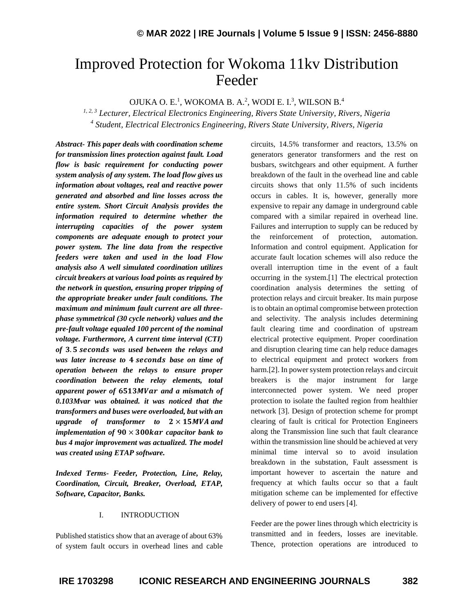# Improved Protection for Wokoma 11kv Distribution Feeder

OJUKA O. E.<sup>1</sup>, WOKOMA B. A.<sup>2</sup>, WODI E. I.<sup>3</sup>, WILSON B.<sup>4</sup>

*1, 2, 3 Lecturer, Electrical Electronics Engineering, Rivers State University, Rivers, Nigeria 4 Student, Electrical Electronics Engineering, Rivers State University, Rivers, Nigeria*

*Abstract- This paper deals with coordination scheme for transmission lines protection against fault. Load flow is basic requirement for conducting power system analysis of any system. The load flow gives us information about voltages, real and reactive power generated and absorbed and line losses across the entire system. Short Circuit Analysis provides the information required to determine whether the interrupting capacities of the power system components are adequate enough to protect your power system. The line data from the respective feeders were taken and used in the load Flow analysis also A well simulated coordination utilizes circuit breakers at various load points as required by the network in question, ensuring proper tripping of the appropriate breaker under fault conditions. The maximum and minimum fault current are all threephase symmetrical (30 cycle network) values and the pre-fault voltage equaled 100 percent of the nominal voltage. Furthermore, A current time interval (CTI)*  of 3.5 seconds was used between the relays and *was later increase to 4 seconds base on time of operation between the relays to ensure proper coordination between the relay elements, total apparent power of 6513MVar and a mismatch of 0.103Mvar was obtained. it was noticed that the transformers and buses were overloaded, but with an upgrade of transformer to*   $2 \times 15MVA$  *and implementation of*  $90 \times 300$  kar *capacitor bank to bus 4 major improvement was actualized. The model was created using ETAP software.*

*Indexed Terms- Feeder, Protection, Line, Relay, Coordination, Circuit, Breaker, Overload, ETAP, Software, Capacitor, Banks.*

# I. INTRODUCTION

Published statistics show that an average of about 63% of system fault occurs in overhead lines and cable circuits, 14.5% transformer and reactors, 13.5% on generators generator transformers and the rest on busbars, switchgears and other equipment. A further breakdown of the fault in the overhead line and cable circuits shows that only 11.5% of such incidents occurs in cables. It is, however, generally more expensive to repair any damage in underground cable compared with a similar repaired in overhead line. Failures and interruption to supply can be reduced by the reinforcement of protection, automation. Information and control equipment. Application for accurate fault location schemes will also reduce the overall interruption time in the event of a fault occurring in the system.[1] The electrical protection coordination analysis determines the setting of protection relays and circuit breaker. Its main purpose is to obtain an optimal compromise between protection and selectivity. The analysis includes determining fault clearing time and coordination of upstream electrical protective equipment. Proper coordination and disruption clearing time can help reduce damages to electrical equipment and protect workers from harm.<sup>[2]</sup>. In power system protection relays and circuit breakers is the major instrument for large interconnected power system. We need proper protection to isolate the faulted region from healthier network [3]. Design of protection scheme for prompt clearing of fault is critical for Protection Engineers along the Transmission line such that fault clearance within the transmission line should be achieved at very minimal time interval so to avoid insulation breakdown in the substation, Fault assessment is important however to ascertain the nature and frequency at which faults occur so that a fault mitigation scheme can be implemented for effective delivery of power to end users [4].

Feeder are the power lines through which electricity is transmitted and in feeders, losses are inevitable. Thence, protection operations are introduced to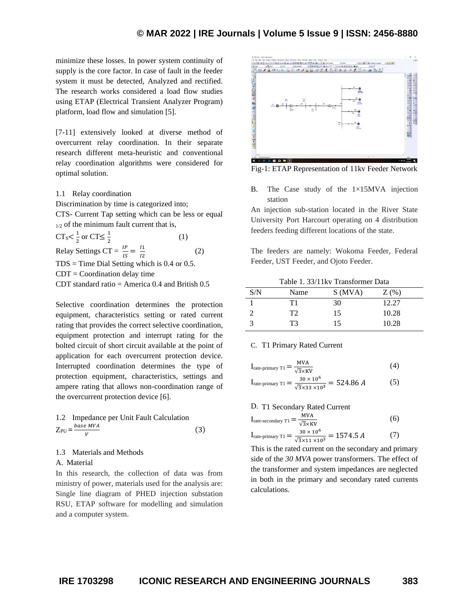# **© MAR 2022 | IRE Journals | Volume 5 Issue 9 | ISSN: 2456-8880**

minimize these losses. In power system continuity of supply is the core factor. In case of fault in the feeder system it must be detected, Analyzed and rectified. The research works considered a load flow studies using ETAP (Electrical Transient Analyzer Program) platform, load flow and simulation [5].

[7-11] extensively looked at diverse method of overcurrent relay coordination. In their separate research different meta-heuristic and conventional relay coordination algorithms were considered for optimal solution.

#### 1.1 Relay coordination

Discrimination by time is categorized into; CTS- Current Tap setting which can be less or equal  $1/2$  of the minimum fault current that is,

 $CT_s < \frac{1}{2}$  $\frac{1}{2}$  or CT $\leq \frac{1}{2}$ 2 (1) Relay Settings CT =  $\frac{IP}{IS} = \frac{I1}{I2}$ 2 (2)

 $TDS = Time$  Dial Setting which is 0.4 or 0.5.  $CDT = Coordination$  delay time CDT standard ratio = America 0.4 and British 0.5

Selective coordination determines the protection equipment, characteristics setting or rated current rating that provides the correct selective coordination, equipment protection and interrupt rating for the bolted circuit of short circuit available at the point of application for each overcurrent protection device. Interrupted coordination determines the type of protection equipment, characteristics, settings and ampere rating that allows non-coordination range of

1.2 Impedance per Unit Fault Calculation  $Z_{PU} = \frac{base MVA}{V}$ V (3)

the overcurrent protection device [6].

## 1.3 Materials and Methods

## A. Material

In this research, the collection of data was from ministry of power, materials used for the analysis are: Single line diagram of PHED injection substation RSU, ETAP software for modelling and simulation and a computer system.



Fig-1: ETAP Representation of 11kv Feeder Network

B. The Case study of the  $1\times15$ MVA injection station

An injection sub-station located in the River State University Port Harcourt operating on 4 distribution feeders feeding different locations of the state.

The feeders are namely: Wokoma Feeder, Federal Feeder, UST Feeder, and Ojoto Feeder.

Table 1. 33/11kv Transformer Data

| S/N | Name | S(MVA) | $Z($ %) |
|-----|------|--------|---------|
|     | Τ1   | 30     | 12.27   |
|     | T2   | 15     | 10.28   |
|     | ፐ3   | 15     | 10.28   |

#### C. T1 Primary Rated Current

$$
I_{\text{rate-primary T1}} = \frac{MVA}{\sqrt{3} \times KV}
$$
 (4)

$$
I_{\text{rate-primary T1}} = \frac{30 \times 10^2}{\sqrt{3} \times 33 \times 10^3} = 524.86 \, \text{A} \tag{5}
$$

D. T1 Secondary Rated Current

$$
I_{\text{rate-secondary TI}} = \frac{MVA}{\sqrt{3} \times KV}
$$
 (6)

$$
I_{\text{rate-primary T1}} = \frac{30 \times 10^6}{\sqrt{3} \times 11 \times 10^3} = 1574.5 \, A \tag{7}
$$

This is the rated current on the secondary and primary side of the *30 MVA* power transformers. The effect of the transformer and system impedances are neglected in both in the primary and secondary rated currents calculations.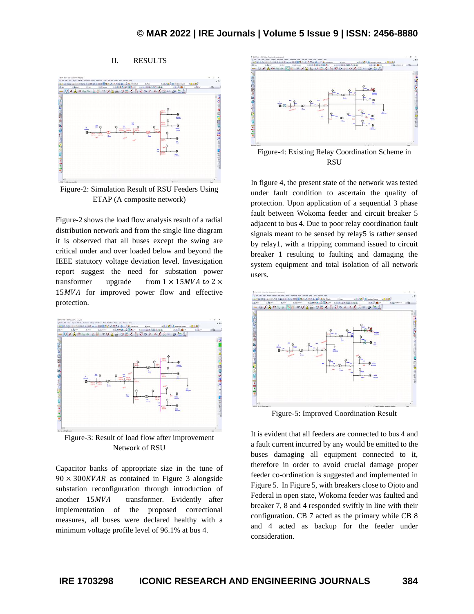# II. RESULTS



Figure-2: Simulation Result of RSU Feeders Using ETAP (A composite network)

Figure-2 shows the load flow analysis result of a radial distribution network and from the single line diagram it is observed that all buses except the swing are critical under and over loaded below and beyond the IEEE statutory voltage deviation level. Investigation report suggest the need for substation power transformer upgrade from  $1 \times 15MVA$  to  $2 \times$ 15 *MVA* for improved power flow and effective protection.



Figure-3: Result of load flow after improvement Network of RSU

Capacitor banks of appropriate size in the tune of  $90 \times 300$  KVAR as contained in Figure 3 alongside substation reconfiguration through introduction of another 15MVA transformer. Evidently after implementation of the proposed correctional measures, all buses were declared healthy with a minimum voltage profile level of 96.1% at bus 4.



In figure 4, the present state of the network was tested under fault condition to ascertain the quality of protection. Upon application of a sequential 3 phase fault between Wokoma feeder and circuit breaker 5 adjacent to bus 4. Due to poor relay coordination fault signals meant to be sensed by relay5 is rather sensed by relay1, with a tripping command issued to circuit breaker 1 resulting to faulting and damaging the system equipment and total isolation of all network users.



Figure-5: Improved Coordination Result

It is evident that all feeders are connected to bus 4 and a fault current incurred by any would be emitted to the buses damaging all equipment connected to it, therefore in order to avoid crucial damage proper feeder co-ordination is suggested and implemented in Figure 5. In Figure 5, with breakers close to Ojoto and Federal in open state, Wokoma feeder was faulted and breaker 7, 8 and 4 responded swiftly in line with their configuration. CB 7 acted as the primary while CB 8 and 4 acted as backup for the feeder under consideration.